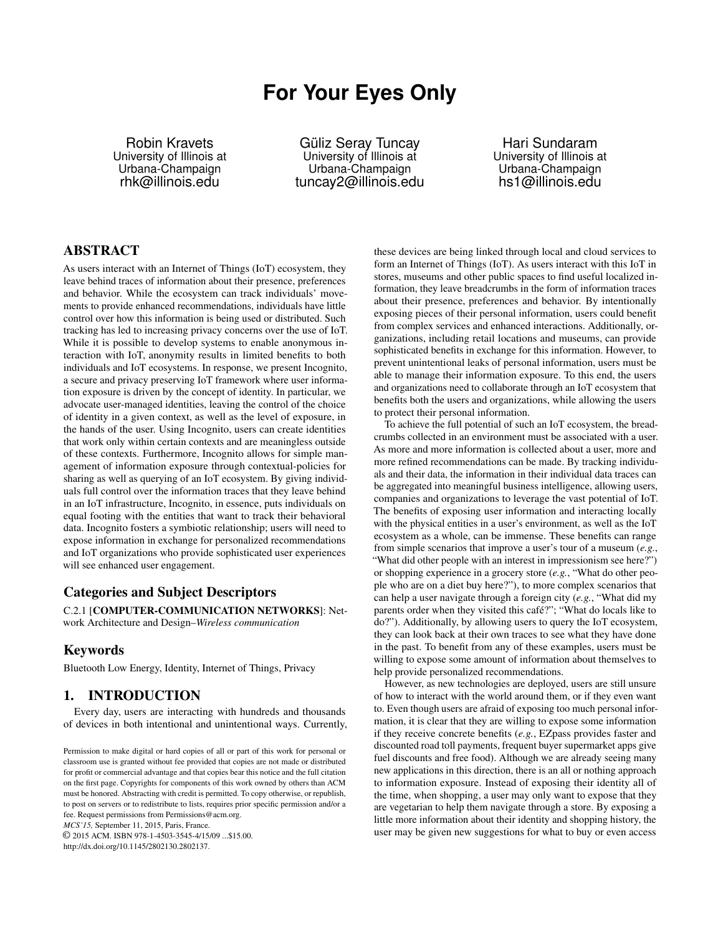# **For Your Eyes Only**

Robin Kravets University of Illinois at Urbana-Champaign rhk@illinois.edu

Güliz Seray Tuncay University of Illinois at Urbana-Champaign tuncay2@illinois.edu

Hari Sundaram University of Illinois at Urbana-Champaign hs1@illinois.edu

## ABSTRACT

As users interact with an Internet of Things (IoT) ecosystem, they leave behind traces of information about their presence, preferences and behavior. While the ecosystem can track individuals' movements to provide enhanced recommendations, individuals have little control over how this information is being used or distributed. Such tracking has led to increasing privacy concerns over the use of IoT. While it is possible to develop systems to enable anonymous interaction with IoT, anonymity results in limited benefits to both individuals and IoT ecosystems. In response, we present Incognito, a secure and privacy preserving IoT framework where user information exposure is driven by the concept of identity. In particular, we advocate user-managed identities, leaving the control of the choice of identity in a given context, as well as the level of exposure, in the hands of the user. Using Incognito, users can create identities that work only within certain contexts and are meaningless outside of these contexts. Furthermore, Incognito allows for simple management of information exposure through contextual-policies for sharing as well as querying of an IoT ecosystem. By giving individuals full control over the information traces that they leave behind in an IoT infrastructure, Incognito, in essence, puts individuals on equal footing with the entities that want to track their behavioral data. Incognito fosters a symbiotic relationship; users will need to expose information in exchange for personalized recommendations and IoT organizations who provide sophisticated user experiences will see enhanced user engagement.

## Categories and Subject Descriptors

C.2.1 [COMPUTER-COMMUNICATION NETWORKS]: Network Architecture and Design–*Wireless communication*

## Keywords

Bluetooth Low Energy, Identity, Internet of Things, Privacy

## 1. INTRODUCTION

Every day, users are interacting with hundreds and thousands of devices in both intentional and unintentional ways. Currently,

*MCS'15,* September 11, 2015, Paris, France.

© 2015 ACM. ISBN 978-1-4503-3545-4/15/09 ...\$15.00. http://dx.doi.org/10.1145/2802130.2802137.

these devices are being linked through local and cloud services to form an Internet of Things (IoT). As users interact with this IoT in stores, museums and other public spaces to find useful localized information, they leave breadcrumbs in the form of information traces about their presence, preferences and behavior. By intentionally exposing pieces of their personal information, users could benefit from complex services and enhanced interactions. Additionally, organizations, including retail locations and museums, can provide sophisticated benefits in exchange for this information. However, to prevent unintentional leaks of personal information, users must be able to manage their information exposure. To this end, the users and organizations need to collaborate through an IoT ecosystem that benefits both the users and organizations, while allowing the users to protect their personal information.

To achieve the full potential of such an IoT ecosystem, the breadcrumbs collected in an environment must be associated with a user. As more and more information is collected about a user, more and more refined recommendations can be made. By tracking individuals and their data, the information in their individual data traces can be aggregated into meaningful business intelligence, allowing users, companies and organizations to leverage the vast potential of IoT. The benefits of exposing user information and interacting locally with the physical entities in a user's environment, as well as the IoT ecosystem as a whole, can be immense. These benefits can range from simple scenarios that improve a user's tour of a museum (*e.g.*, "What did other people with an interest in impressionism see here?") or shopping experience in a grocery store (*e.g.*, "What do other people who are on a diet buy here?"), to more complex scenarios that can help a user navigate through a foreign city (*e.g.*, "What did my parents order when they visited this café?"; "What do locals like to do?"). Additionally, by allowing users to query the IoT ecosystem, they can look back at their own traces to see what they have done in the past. To benefit from any of these examples, users must be willing to expose some amount of information about themselves to help provide personalized recommendations.

However, as new technologies are deployed, users are still unsure of how to interact with the world around them, or if they even want to. Even though users are afraid of exposing too much personal information, it is clear that they are willing to expose some information if they receive concrete benefits (*e.g.*, EZpass provides faster and discounted road toll payments, frequent buyer supermarket apps give fuel discounts and free food). Although we are already seeing many new applications in this direction, there is an all or nothing approach to information exposure. Instead of exposing their identity all of the time, when shopping, a user may only want to expose that they are vegetarian to help them navigate through a store. By exposing a little more information about their identity and shopping history, the user may be given new suggestions for what to buy or even access

Permission to make digital or hard copies of all or part of this work for personal or classroom use is granted without fee provided that copies are not made or distributed for profit or commercial advantage and that copies bear this notice and the full citation on the first page. Copyrights for components of this work owned by others than ACM must be honored. Abstracting with credit is permitted. To copy otherwise, or republish, to post on servers or to redistribute to lists, requires prior specific permission and/or a fee. Request permissions from Permissions@acm.org.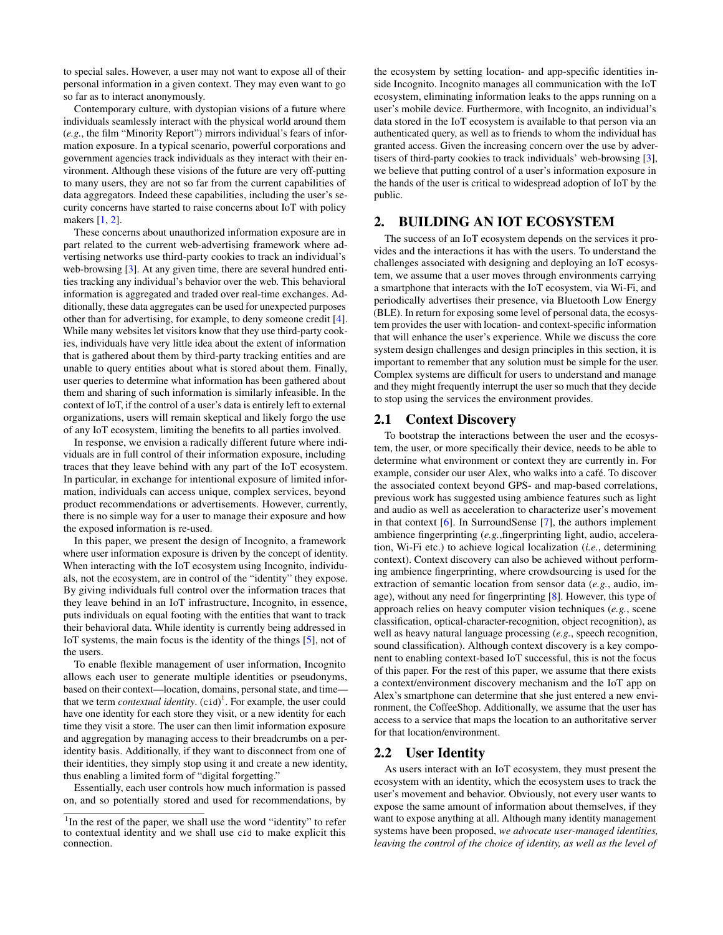to special sales. However, a user may not want to expose all of their personal information in a given context. They may even want to go so far as to interact anonymously.

Contemporary culture, with dystopian visions of a future where individuals seamlessly interact with the physical world around them (*e.g.*, the film "Minority Report") mirrors individual's fears of information exposure. In a typical scenario, powerful corporations and government agencies track individuals as they interact with their environment. Although these visions of the future are very off-putting to many users, they are not so far from the current capabilities of data aggregators. Indeed these capabilities, including the user's security concerns have started to raise concerns about IoT with policy makers [\[1,](#page-7-0) [2\]](#page-7-1).

These concerns about unauthorized information exposure are in part related to the current web-advertising framework where advertising networks use third-party cookies to track an individual's web-browsing [\[3\]](#page-7-2). At any given time, there are several hundred entities tracking any individual's behavior over the web. This behavioral information is aggregated and traded over real-time exchanges. Additionally, these data aggregates can be used for unexpected purposes other than for advertising, for example, to deny someone credit [\[4\]](#page-7-3). While many websites let visitors know that they use third-party cookies, individuals have very little idea about the extent of information that is gathered about them by third-party tracking entities and are unable to query entities about what is stored about them. Finally, user queries to determine what information has been gathered about them and sharing of such information is similarly infeasible. In the context of IoT, if the control of a user's data is entirely left to external organizations, users will remain skeptical and likely forgo the use of any IoT ecosystem, limiting the benefits to all parties involved.

In response, we envision a radically different future where individuals are in full control of their information exposure, including traces that they leave behind with any part of the IoT ecosystem. In particular, in exchange for intentional exposure of limited information, individuals can access unique, complex services, beyond product recommendations or advertisements. However, currently, there is no simple way for a user to manage their exposure and how the exposed information is re-used.

In this paper, we present the design of Incognito, a framework where user information exposure is driven by the concept of identity. When interacting with the IoT ecosystem using Incognito, individuals, not the ecosystem, are in control of the "identity" they expose. By giving individuals full control over the information traces that they leave behind in an IoT infrastructure, Incognito, in essence, puts individuals on equal footing with the entities that want to track their behavioral data. While identity is currently being addressed in IoT systems, the main focus is the identity of the things [\[5\]](#page-7-4), not of the users.

To enable flexible management of user information, Incognito allows each user to generate multiple identities or pseudonyms, based on their context—location, domains, personal state, and time that we term *contextual identity*. (cid) [1](#page-1-0) . For example, the user could have one identity for each store they visit, or a new identity for each time they visit a store. The user can then limit information exposure and aggregation by managing access to their breadcrumbs on a peridentity basis. Additionally, if they want to disconnect from one of their identities, they simply stop using it and create a new identity, thus enabling a limited form of "digital forgetting."

Essentially, each user controls how much information is passed on, and so potentially stored and used for recommendations, by

the ecosystem by setting location- and app-specific identities inside Incognito. Incognito manages all communication with the IoT ecosystem, eliminating information leaks to the apps running on a user's mobile device. Furthermore, with Incognito, an individual's data stored in the IoT ecosystem is available to that person via an authenticated query, as well as to friends to whom the individual has granted access. Given the increasing concern over the use by advertisers of third-party cookies to track individuals' web-browsing [\[3\]](#page-7-2), we believe that putting control of a user's information exposure in the hands of the user is critical to widespread adoption of IoT by the public.

## 2. BUILDING AN IOT ECOSYSTEM

The success of an IoT ecosystem depends on the services it provides and the interactions it has with the users. To understand the challenges associated with designing and deploying an IoT ecosystem, we assume that a user moves through environments carrying a smartphone that interacts with the IoT ecosystem, via Wi-Fi, and periodically advertises their presence, via Bluetooth Low Energy (BLE). In return for exposing some level of personal data, the ecosystem provides the user with location- and context-specific information that will enhance the user's experience. While we discuss the core system design challenges and design principles in this section, it is important to remember that any solution must be simple for the user. Complex systems are difficult for users to understand and manage and they might frequently interrupt the user so much that they decide to stop using the services the environment provides.

#### 2.1 Context Discovery

To bootstrap the interactions between the user and the ecosystem, the user, or more specifically their device, needs to be able to determine what environment or context they are currently in. For example, consider our user Alex, who walks into a café. To discover the associated context beyond GPS- and map-based correlations, previous work has suggested using ambience features such as light and audio as well as acceleration to characterize user's movement in that context [\[6\]](#page-7-5). In SurroundSense [\[7\]](#page-7-6), the authors implement ambience fingerprinting (*e.g.*,fingerprinting light, audio, acceleration, Wi-Fi etc.) to achieve logical localization (*i.e.*, determining context). Context discovery can also be achieved without performing ambience fingerprinting, where crowdsourcing is used for the extraction of semantic location from sensor data (*e.g.*, audio, image), without any need for fingerprinting [\[8\]](#page-7-7). However, this type of approach relies on heavy computer vision techniques (*e.g.*, scene classification, optical-character-recognition, object recognition), as well as heavy natural language processing (*e.g.*, speech recognition, sound classification). Although context discovery is a key component to enabling context-based IoT successful, this is not the focus of this paper. For the rest of this paper, we assume that there exists a context/environment discovery mechanism and the IoT app on Alex's smartphone can determine that she just entered a new environment, the CoffeeShop. Additionally, we assume that the user has access to a service that maps the location to an authoritative server for that location/environment.

## 2.2 User Identity

As users interact with an IoT ecosystem, they must present the ecosystem with an identity, which the ecosystem uses to track the user's movement and behavior. Obviously, not every user wants to expose the same amount of information about themselves, if they want to expose anything at all. Although many identity management systems have been proposed, *we advocate user-managed identities, leaving the control of the choice of identity, as well as the level of*

<span id="page-1-0"></span><sup>&</sup>lt;sup>1</sup>In the rest of the paper, we shall use the word "identity" to refer to contextual identity and we shall use cid to make explicit this connection.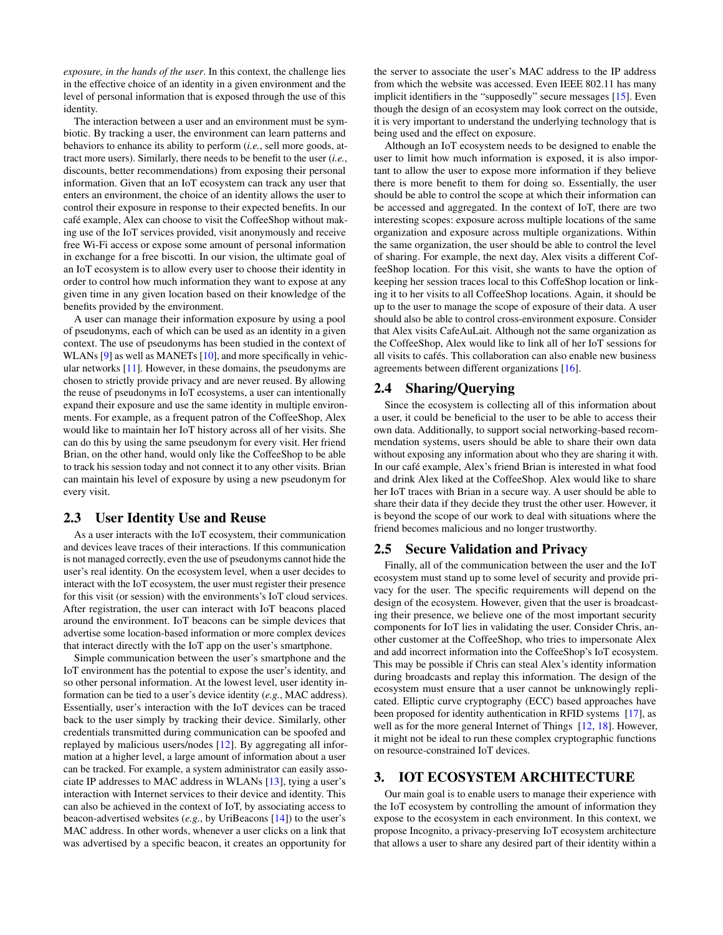*exposure, in the hands of the user*. In this context, the challenge lies in the effective choice of an identity in a given environment and the level of personal information that is exposed through the use of this identity.

The interaction between a user and an environment must be symbiotic. By tracking a user, the environment can learn patterns and behaviors to enhance its ability to perform (*i.e.*, sell more goods, attract more users). Similarly, there needs to be benefit to the user (*i.e.*, discounts, better recommendations) from exposing their personal information. Given that an IoT ecosystem can track any user that enters an environment, the choice of an identity allows the user to control their exposure in response to their expected benefits. In our café example, Alex can choose to visit the CoffeeShop without making use of the IoT services provided, visit anonymously and receive free Wi-Fi access or expose some amount of personal information in exchange for a free biscotti. In our vision, the ultimate goal of an IoT ecosystem is to allow every user to choose their identity in order to control how much information they want to expose at any given time in any given location based on their knowledge of the benefits provided by the environment.

A user can manage their information exposure by using a pool of pseudonyms, each of which can be used as an identity in a given context. The use of pseudonyms has been studied in the context of WLANs [\[9\]](#page-7-8) as well as MANETs [\[10\]](#page-7-9), and more specifically in vehicular networks [\[11\]](#page-7-10). However, in these domains, the pseudonyms are chosen to strictly provide privacy and are never reused. By allowing the reuse of pseudonyms in IoT ecosystems, a user can intentionally expand their exposure and use the same identity in multiple environments. For example, as a frequent patron of the CoffeeShop, Alex would like to maintain her IoT history across all of her visits. She can do this by using the same pseudonym for every visit. Her friend Brian, on the other hand, would only like the CoffeeShop to be able to track his session today and not connect it to any other visits. Brian can maintain his level of exposure by using a new pseudonym for every visit.

#### 2.3 User Identity Use and Reuse

As a user interacts with the IoT ecosystem, their communication and devices leave traces of their interactions. If this communication is not managed correctly, even the use of pseudonyms cannot hide the user's real identity. On the ecosystem level, when a user decides to interact with the IoT ecosystem, the user must register their presence for this visit (or session) with the environments's IoT cloud services. After registration, the user can interact with IoT beacons placed around the environment. IoT beacons can be simple devices that advertise some location-based information or more complex devices that interact directly with the IoT app on the user's smartphone.

Simple communication between the user's smartphone and the IoT environment has the potential to expose the user's identity, and so other personal information. At the lowest level, user identity information can be tied to a user's device identity (*e.g.*, MAC address). Essentially, user's interaction with the IoT devices can be traced back to the user simply by tracking their device. Similarly, other credentials transmitted during communication can be spoofed and replayed by malicious users/nodes [\[12\]](#page-7-11). By aggregating all information at a higher level, a large amount of information about a user can be tracked. For example, a system administrator can easily associate IP addresses to MAC address in WLANs [\[13\]](#page-7-12), tying a user's interaction with Internet services to their device and identity. This can also be achieved in the context of IoT, by associating access to beacon-advertised websites (*e.g.*, by UriBeacons [\[14\]](#page-7-13)) to the user's MAC address. In other words, whenever a user clicks on a link that was advertised by a specific beacon, it creates an opportunity for the server to associate the user's MAC address to the IP address from which the website was accessed. Even IEEE 802.11 has many implicit identifiers in the "supposedly" secure messages [\[15\]](#page-7-14). Even though the design of an ecosystem may look correct on the outside, it is very important to understand the underlying technology that is being used and the effect on exposure.

Although an IoT ecosystem needs to be designed to enable the user to limit how much information is exposed, it is also important to allow the user to expose more information if they believe there is more benefit to them for doing so. Essentially, the user should be able to control the scope at which their information can be accessed and aggregated. In the context of IoT, there are two interesting scopes: exposure across multiple locations of the same organization and exposure across multiple organizations. Within the same organization, the user should be able to control the level of sharing. For example, the next day, Alex visits a different CoffeeShop location. For this visit, she wants to have the option of keeping her session traces local to this CoffeShop location or linking it to her visits to all CoffeeShop locations. Again, it should be up to the user to manage the scope of exposure of their data. A user should also be able to control cross-environment exposure. Consider that Alex visits CafeAuLait. Although not the same organization as the CoffeeShop, Alex would like to link all of her IoT sessions for all visits to cafés. This collaboration can also enable new business agreements between different organizations [\[16\]](#page-7-15).

#### 2.4 Sharing/Querying

Since the ecosystem is collecting all of this information about a user, it could be beneficial to the user to be able to access their own data. Additionally, to support social networking-based recommendation systems, users should be able to share their own data without exposing any information about who they are sharing it with. In our café example, Alex's friend Brian is interested in what food and drink Alex liked at the CoffeeShop. Alex would like to share her IoT traces with Brian in a secure way. A user should be able to share their data if they decide they trust the other user. However, it is beyond the scope of our work to deal with situations where the friend becomes malicious and no longer trustworthy.

#### 2.5 Secure Validation and Privacy

Finally, all of the communication between the user and the IoT ecosystem must stand up to some level of security and provide privacy for the user. The specific requirements will depend on the design of the ecosystem. However, given that the user is broadcasting their presence, we believe one of the most important security components for IoT lies in validating the user. Consider Chris, another customer at the CoffeeShop, who tries to impersonate Alex and add incorrect information into the CoffeeShop's IoT ecosystem. This may be possible if Chris can steal Alex's identity information during broadcasts and replay this information. The design of the ecosystem must ensure that a user cannot be unknowingly replicated. Elliptic curve cryptography (ECC) based approaches have been proposed for identity authentication in RFID systems [\[17\]](#page-7-16), as well as for the more general Internet of Things [\[12,](#page-7-11) [18\]](#page-7-17). However, it might not be ideal to run these complex cryptographic functions on resource-constrained IoT devices.

#### 3. IOT ECOSYSTEM ARCHITECTURE

Our main goal is to enable users to manage their experience with the IoT ecosystem by controlling the amount of information they expose to the ecosystem in each environment. In this context, we propose Incognito, a privacy-preserving IoT ecosystem architecture that allows a user to share any desired part of their identity within a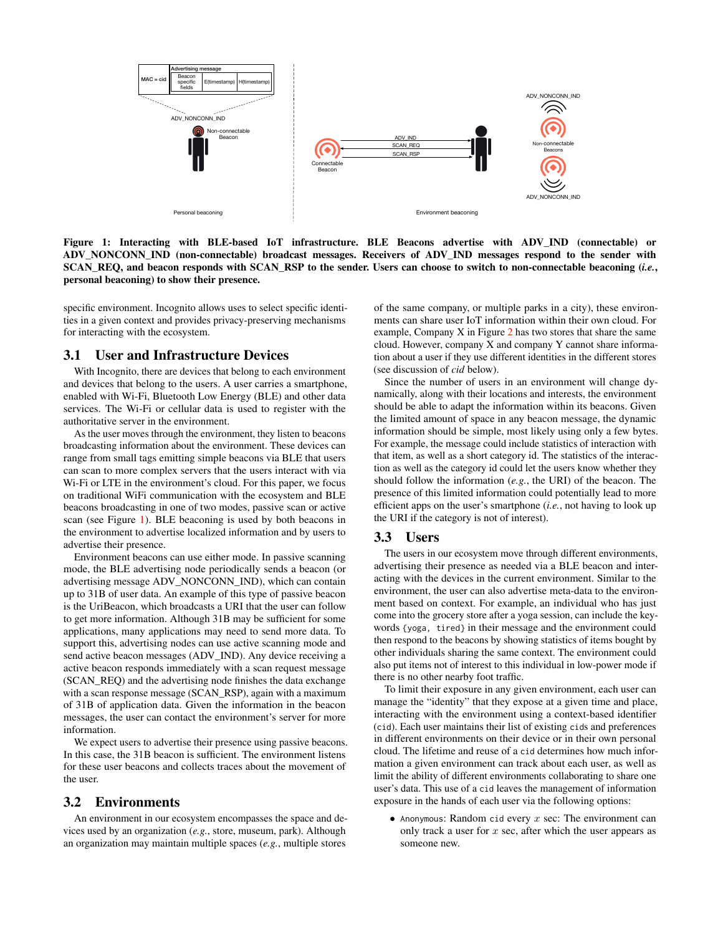

<span id="page-3-0"></span>Figure 1: Interacting with BLE-based IoT infrastructure. BLE Beacons advertise with ADV\_IND (connectable) or ADV\_NONCONN\_IND (non-connectable) broadcast messages. Receivers of ADV\_IND messages respond to the sender with SCAN\_REQ, and beacon responds with SCAN\_RSP to the sender. Users can choose to switch to non-connectable beaconing (*i.e.*, personal beaconing) to show their presence.

specific environment. Incognito allows uses to select specific identities in a given context and provides privacy-preserving mechanisms for interacting with the ecosystem.

#### 3.1 User and Infrastructure Devices

With Incognito, there are devices that belong to each environment and devices that belong to the users. A user carries a smartphone, enabled with Wi-Fi, Bluetooth Low Energy (BLE) and other data services. The Wi-Fi or cellular data is used to register with the authoritative server in the environment.

As the user moves through the environment, they listen to beacons broadcasting information about the environment. These devices can range from small tags emitting simple beacons via BLE that users can scan to more complex servers that the users interact with via Wi-Fi or LTE in the environment's cloud. For this paper, we focus on traditional WiFi communication with the ecosystem and BLE beacons broadcasting in one of two modes, passive scan or active scan (see Figure [1\)](#page-3-0). BLE beaconing is used by both beacons in the environment to advertise localized information and by users to advertise their presence.

Environment beacons can use either mode. In passive scanning mode, the BLE advertising node periodically sends a beacon (or advertising message ADV\_NONCONN\_IND), which can contain up to 31B of user data. An example of this type of passive beacon is the UriBeacon, which broadcasts a URI that the user can follow to get more information. Although 31B may be sufficient for some applications, many applications may need to send more data. To support this, advertising nodes can use active scanning mode and send active beacon messages (ADV\_IND). Any device receiving a active beacon responds immediately with a scan request message (SCAN\_REQ) and the advertising node finishes the data exchange with a scan response message (SCAN\_RSP), again with a maximum of 31B of application data. Given the information in the beacon messages, the user can contact the environment's server for more information.

We expect users to advertise their presence using passive beacons. In this case, the 31B beacon is sufficient. The environment listens for these user beacons and collects traces about the movement of the user.

#### 3.2 Environments

An environment in our ecosystem encompasses the space and devices used by an organization (*e.g.*, store, museum, park). Although an organization may maintain multiple spaces (*e.g.*, multiple stores

of the same company, or multiple parks in a city), these environments can share user IoT information within their own cloud. For example, Company X in Figure [2](#page-4-0) has two stores that share the same cloud. However, company X and company Y cannot share information about a user if they use different identities in the different stores (see discussion of *cid* below).

Since the number of users in an environment will change dynamically, along with their locations and interests, the environment should be able to adapt the information within its beacons. Given the limited amount of space in any beacon message, the dynamic information should be simple, most likely using only a few bytes. For example, the message could include statistics of interaction with that item, as well as a short category id. The statistics of the interaction as well as the category id could let the users know whether they should follow the information (*e.g.*, the URI) of the beacon. The presence of this limited information could potentially lead to more efficient apps on the user's smartphone (*i.e.*, not having to look up the URI if the category is not of interest).

#### <span id="page-3-1"></span>3.3 Users

The users in our ecosystem move through different environments, advertising their presence as needed via a BLE beacon and interacting with the devices in the current environment. Similar to the environment, the user can also advertise meta-data to the environment based on context. For example, an individual who has just come into the grocery store after a yoga session, can include the keywords {yoga, tired} in their message and the environment could then respond to the beacons by showing statistics of items bought by other individuals sharing the same context. The environment could also put items not of interest to this individual in low-power mode if there is no other nearby foot traffic.

To limit their exposure in any given environment, each user can manage the "identity" that they expose at a given time and place, interacting with the environment using a context-based identifier (cid). Each user maintains their list of existing cids and preferences in different environments on their device or in their own personal cloud. The lifetime and reuse of a cid determines how much information a given environment can track about each user, as well as limit the ability of different environments collaborating to share one user's data. This use of a cid leaves the management of information exposure in the hands of each user via the following options:

Anonymous: Random cid every  $x$  sec: The environment can only track a user for  $x$  sec, after which the user appears as someone new.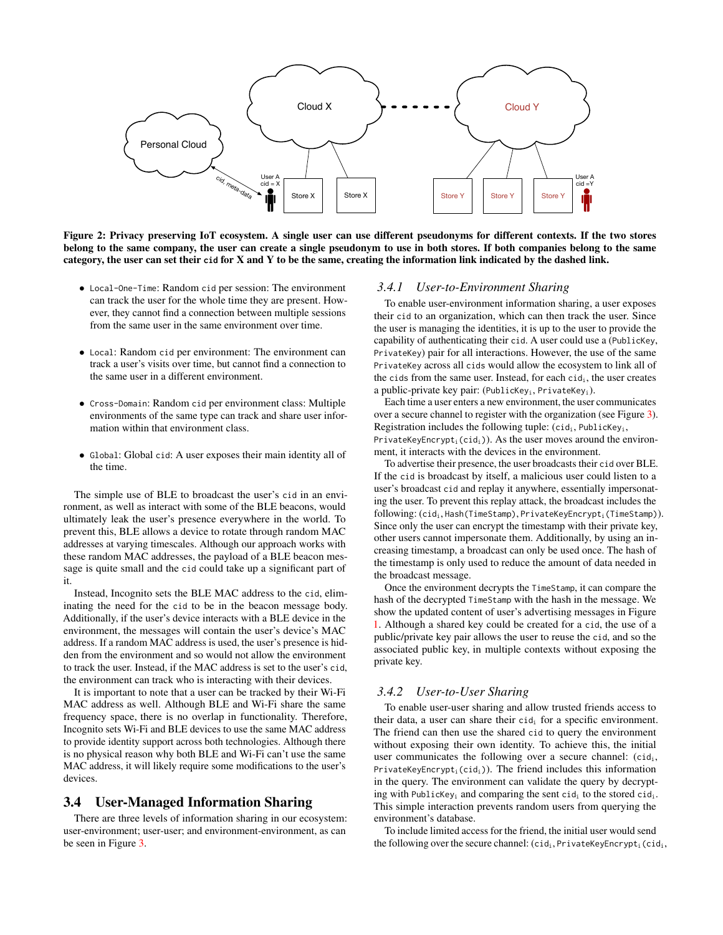

<span id="page-4-0"></span>Figure 2: Privacy preserving IoT ecosystem. A single user can use different pseudonyms for different contexts. If the two stores belong to the same company, the user can create a single pseudonym to use in both stores. If both companies belong to the same category, the user can set their cid for X and Y to be the same, creating the information link indicated by the dashed link.

- Local-One-Time: Random cid per session: The environment can track the user for the whole time they are present. However, they cannot find a connection between multiple sessions from the same user in the same environment over time.
- Local: Random cid per environment: The environment can track a user's visits over time, but cannot find a connection to the same user in a different environment.
- Cross-Domain: Random cid per environment class: Multiple environments of the same type can track and share user information within that environment class.
- Global: Global cid: A user exposes their main identity all of the time.

The simple use of BLE to broadcast the user's cid in an environment, as well as interact with some of the BLE beacons, would ultimately leak the user's presence everywhere in the world. To prevent this, BLE allows a device to rotate through random MAC addresses at varying timescales. Although our approach works with these random MAC addresses, the payload of a BLE beacon message is quite small and the cid could take up a significant part of it.

Instead, Incognito sets the BLE MAC address to the cid, eliminating the need for the cid to be in the beacon message body. Additionally, if the user's device interacts with a BLE device in the environment, the messages will contain the user's device's MAC address. If a random MAC address is used, the user's presence is hidden from the environment and so would not allow the environment to track the user. Instead, if the MAC address is set to the user's cid, the environment can track who is interacting with their devices.

It is important to note that a user can be tracked by their Wi-Fi MAC address as well. Although BLE and Wi-Fi share the same frequency space, there is no overlap in functionality. Therefore, Incognito sets Wi-Fi and BLE devices to use the same MAC address to provide identity support across both technologies. Although there is no physical reason why both BLE and Wi-Fi can't use the same MAC address, it will likely require some modifications to the user's devices.

#### 3.4 User-Managed Information Sharing

There are three levels of information sharing in our ecosystem: user-environment; user-user; and environment-environment, as can be seen in Figure [3.](#page-6-0)

#### *3.4.1 User-to-Environment Sharing*

To enable user-environment information sharing, a user exposes their cid to an organization, which can then track the user. Since the user is managing the identities, it is up to the user to provide the capability of authenticating their cid. A user could use a (PublicKey, PrivateKey) pair for all interactions. However, the use of the same PrivateKey across all cids would allow the ecosystem to link all of the cids from the same user. Instead, for each cid<sub>i</sub>, the user creates a public-private key pair: (PublicKeyi, PrivateKeyi).

Each time a user enters a new environment, the user communicates over a secure channel to register with the organization (see Figure [3\)](#page-6-0). Registration includes the following tuple:  $(cid_i, PublicKey_i,$ PrivateKeyEncrypt<sub>i</sub>(cid<sub>i</sub>)). As the user moves around the environment, it interacts with the devices in the environment.

To advertise their presence, the user broadcasts their cid over BLE. If the cid is broadcast by itself, a malicious user could listen to a user's broadcast cid and replay it anywhere, essentially impersonating the user. To prevent this replay attack, the broadcast includes the following: (cid<sub>i</sub>, Hash(TimeStamp), PrivateKeyEncrypt<sub>i</sub>(TimeStamp)). Since only the user can encrypt the timestamp with their private key, other users cannot impersonate them. Additionally, by using an increasing timestamp, a broadcast can only be used once. The hash of the timestamp is only used to reduce the amount of data needed in the broadcast message.

Once the environment decrypts the TimeStamp, it can compare the hash of the decrypted TimeStamp with the hash in the message. We show the updated content of user's advertising messages in Figure [1.](#page-3-0) Although a shared key could be created for a cid, the use of a public/private key pair allows the user to reuse the cid, and so the associated public key, in multiple contexts without exposing the private key.

#### *3.4.2 User-to-User Sharing*

To enable user-user sharing and allow trusted friends access to their data, a user can share their cid<sub>i</sub> for a specific environment. The friend can then use the shared cid to query the environment without exposing their own identity. To achieve this, the initial user communicates the following over a secure channel: (cid<sub>i</sub>, PrivateKeyEncrypt<sub>i</sub>(cid<sub>i</sub>)). The friend includes this information in the query. The environment can validate the query by decrypting with PublicKey<sub>i</sub> and comparing the sent cid<sub>i</sub> to the stored cid<sub>i</sub>. This simple interaction prevents random users from querying the environment's database.

To include limited access for the friend, the initial user would send the following over the secure channel:  $(cid_i, PrivateKeyEnergy_i(cid_i,$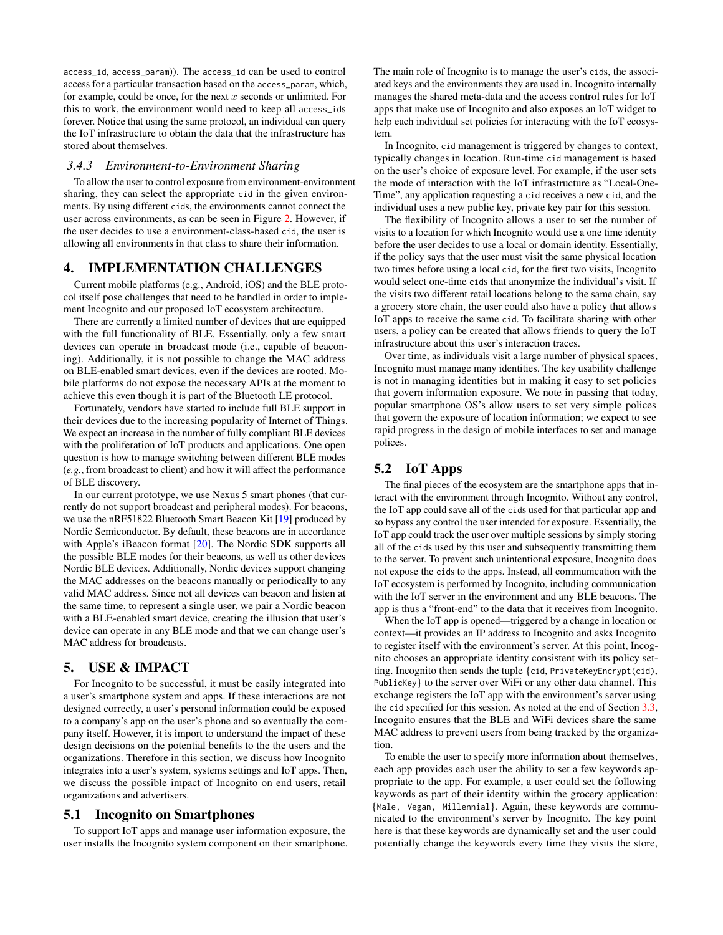access\_id, access\_param)). The access\_id can be used to control access for a particular transaction based on the access\_param, which, for example, could be once, for the next  $x$  seconds or unlimited. For this to work, the environment would need to keep all access\_ids forever. Notice that using the same protocol, an individual can query the IoT infrastructure to obtain the data that the infrastructure has stored about themselves.

#### *3.4.3 Environment-to-Environment Sharing*

To allow the user to control exposure from environment-environment sharing, they can select the appropriate cid in the given environments. By using different cids, the environments cannot connect the user across environments, as can be seen in Figure [2.](#page-4-0) However, if the user decides to use a environment-class-based cid, the user is allowing all environments in that class to share their information.

#### 4. IMPLEMENTATION CHALLENGES

Current mobile platforms (e.g., Android, iOS) and the BLE protocol itself pose challenges that need to be handled in order to implement Incognito and our proposed IoT ecosystem architecture.

There are currently a limited number of devices that are equipped with the full functionality of BLE. Essentially, only a few smart devices can operate in broadcast mode (i.e., capable of beaconing). Additionally, it is not possible to change the MAC address on BLE-enabled smart devices, even if the devices are rooted. Mobile platforms do not expose the necessary APIs at the moment to achieve this even though it is part of the Bluetooth LE protocol.

Fortunately, vendors have started to include full BLE support in their devices due to the increasing popularity of Internet of Things. We expect an increase in the number of fully compliant BLE devices with the proliferation of IoT products and applications. One open question is how to manage switching between different BLE modes (*e.g.*, from broadcast to client) and how it will affect the performance of BLE discovery.

In our current prototype, we use Nexus 5 smart phones (that currently do not support broadcast and peripheral modes). For beacons, we use the nRF51822 Bluetooth Smart Beacon Kit [\[19\]](#page-7-18) produced by Nordic Semiconductor. By default, these beacons are in accordance with Apple's iBeacon format [\[20\]](#page-7-19). The Nordic SDK supports all the possible BLE modes for their beacons, as well as other devices Nordic BLE devices. Additionally, Nordic devices support changing the MAC addresses on the beacons manually or periodically to any valid MAC address. Since not all devices can beacon and listen at the same time, to represent a single user, we pair a Nordic beacon with a BLE-enabled smart device, creating the illusion that user's device can operate in any BLE mode and that we can change user's MAC address for broadcasts.

#### 5. USE & IMPACT

For Incognito to be successful, it must be easily integrated into a user's smartphone system and apps. If these interactions are not designed correctly, a user's personal information could be exposed to a company's app on the user's phone and so eventually the company itself. However, it is import to understand the impact of these design decisions on the potential benefits to the the users and the organizations. Therefore in this section, we discuss how Incognito integrates into a user's system, systems settings and IoT apps. Then, we discuss the possible impact of Incognito on end users, retail organizations and advertisers.

#### 5.1 Incognito on Smartphones

To support IoT apps and manage user information exposure, the user installs the Incognito system component on their smartphone. The main role of Incognito is to manage the user's cids, the associated keys and the environments they are used in. Incognito internally manages the shared meta-data and the access control rules for IoT apps that make use of Incognito and also exposes an IoT widget to help each individual set policies for interacting with the IoT ecosystem.

In Incognito, cid management is triggered by changes to context, typically changes in location. Run-time cid management is based on the user's choice of exposure level. For example, if the user sets the mode of interaction with the IoT infrastructure as "Local-One-Time", any application requesting a cid receives a new cid, and the individual uses a new public key, private key pair for this session.

The flexibility of Incognito allows a user to set the number of visits to a location for which Incognito would use a one time identity before the user decides to use a local or domain identity. Essentially, if the policy says that the user must visit the same physical location two times before using a local cid, for the first two visits, Incognito would select one-time cids that anonymize the individual's visit. If the visits two different retail locations belong to the same chain, say a grocery store chain, the user could also have a policy that allows IoT apps to receive the same cid. To facilitate sharing with other users, a policy can be created that allows friends to query the IoT infrastructure about this user's interaction traces.

Over time, as individuals visit a large number of physical spaces, Incognito must manage many identities. The key usability challenge is not in managing identities but in making it easy to set policies that govern information exposure. We note in passing that today, popular smartphone OS's allow users to set very simple polices that govern the exposure of location information; we expect to see rapid progress in the design of mobile interfaces to set and manage polices.

#### 5.2 IoT Apps

The final pieces of the ecosystem are the smartphone apps that interact with the environment through Incognito. Without any control, the IoT app could save all of the cids used for that particular app and so bypass any control the user intended for exposure. Essentially, the IoT app could track the user over multiple sessions by simply storing all of the cids used by this user and subsequently transmitting them to the server. To prevent such unintentional exposure, Incognito does not expose the cids to the apps. Instead, all communication with the IoT ecosystem is performed by Incognito, including communication with the IoT server in the environment and any BLE beacons. The app is thus a "front-end" to the data that it receives from Incognito.

When the IoT app is opened—triggered by a change in location or context—it provides an IP address to Incognito and asks Incognito to register itself with the environment's server. At this point, Incognito chooses an appropriate identity consistent with its policy setting. Incognito then sends the tuple {cid, PrivateKeyEncrypt(cid), PublicKey} to the server over WiFi or any other data channel. This exchange registers the IoT app with the environment's server using the cid specified for this session. As noted at the end of Section [3.3,](#page-3-1) Incognito ensures that the BLE and WiFi devices share the same MAC address to prevent users from being tracked by the organization.

To enable the user to specify more information about themselves, each app provides each user the ability to set a few keywords appropriate to the app. For example, a user could set the following keywords as part of their identity within the grocery application: {Male, Vegan, Millennial}. Again, these keywords are communicated to the environment's server by Incognito. The key point here is that these keywords are dynamically set and the user could potentially change the keywords every time they visits the store,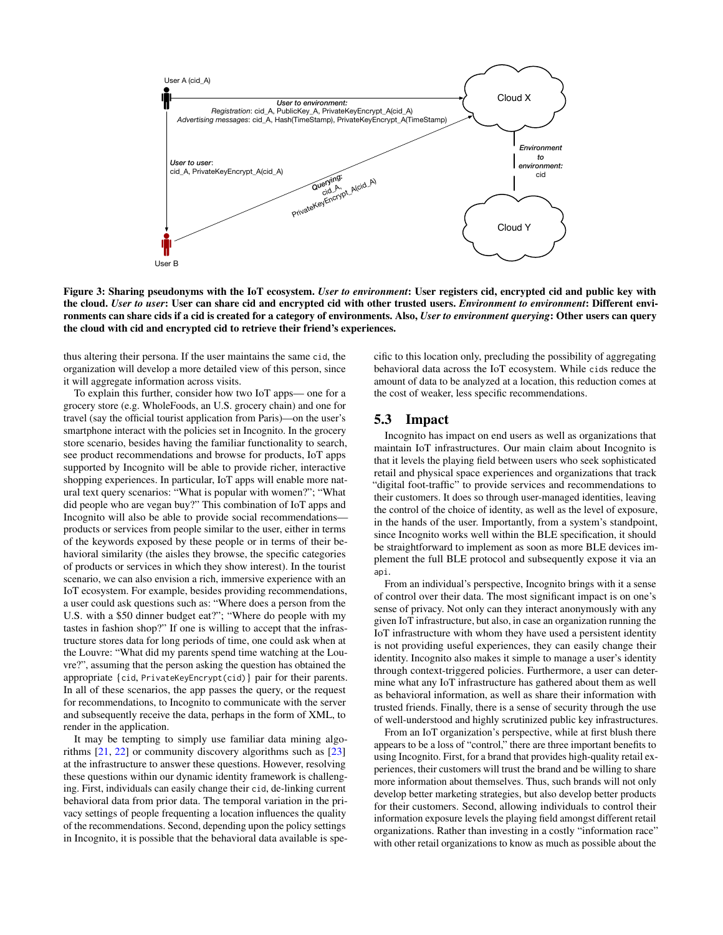

<span id="page-6-0"></span>Figure 3: Sharing pseudonyms with the IoT ecosystem. *User to environment*: User registers cid, encrypted cid and public key with the cloud. *User to user*: User can share cid and encrypted cid with other trusted users. *Environment to environment*: Different environments can share cids if a cid is created for a category of environments. Also, *User to environment querying*: Other users can query the cloud with cid and encrypted cid to retrieve their friend's experiences.

thus altering their persona. If the user maintains the same cid, the organization will develop a more detailed view of this person, since it will aggregate information across visits.

To explain this further, consider how two IoT apps— one for a grocery store (e.g. WholeFoods, an U.S. grocery chain) and one for travel (say the official tourist application from Paris)—on the user's smartphone interact with the policies set in Incognito. In the grocery store scenario, besides having the familiar functionality to search, see product recommendations and browse for products, IoT apps supported by Incognito will be able to provide richer, interactive shopping experiences. In particular, IoT apps will enable more natural text query scenarios: "What is popular with women?"; "What did people who are vegan buy?" This combination of IoT apps and Incognito will also be able to provide social recommendations products or services from people similar to the user, either in terms of the keywords exposed by these people or in terms of their behavioral similarity (the aisles they browse, the specific categories of products or services in which they show interest). In the tourist scenario, we can also envision a rich, immersive experience with an IoT ecosystem. For example, besides providing recommendations, a user could ask questions such as: "Where does a person from the U.S. with a \$50 dinner budget eat?"; "Where do people with my tastes in fashion shop?" If one is willing to accept that the infrastructure stores data for long periods of time, one could ask when at the Louvre: "What did my parents spend time watching at the Louvre?", assuming that the person asking the question has obtained the appropriate {cid, PrivateKeyEncrypt(cid)} pair for their parents. In all of these scenarios, the app passes the query, or the request for recommendations, to Incognito to communicate with the server and subsequently receive the data, perhaps in the form of XML, to render in the application.

It may be tempting to simply use familiar data mining algorithms [\[21,](#page-7-20) [22\]](#page-7-21) or community discovery algorithms such as [\[23\]](#page-7-22) at the infrastructure to answer these questions. However, resolving these questions within our dynamic identity framework is challenging. First, individuals can easily change their cid, de-linking current behavioral data from prior data. The temporal variation in the privacy settings of people frequenting a location influences the quality of the recommendations. Second, depending upon the policy settings in Incognito, it is possible that the behavioral data available is specific to this location only, precluding the possibility of aggregating behavioral data across the IoT ecosystem. While cids reduce the amount of data to be analyzed at a location, this reduction comes at the cost of weaker, less specific recommendations.

### 5.3 Impact

Incognito has impact on end users as well as organizations that maintain IoT infrastructures. Our main claim about Incognito is that it levels the playing field between users who seek sophisticated retail and physical space experiences and organizations that track "digital foot-traffic" to provide services and recommendations to their customers. It does so through user-managed identities, leaving the control of the choice of identity, as well as the level of exposure, in the hands of the user. Importantly, from a system's standpoint, since Incognito works well within the BLE specification, it should be straightforward to implement as soon as more BLE devices implement the full BLE protocol and subsequently expose it via an api.

From an individual's perspective, Incognito brings with it a sense of control over their data. The most significant impact is on one's sense of privacy. Not only can they interact anonymously with any given IoT infrastructure, but also, in case an organization running the IoT infrastructure with whom they have used a persistent identity is not providing useful experiences, they can easily change their identity. Incognito also makes it simple to manage a user's identity through context-triggered policies. Furthermore, a user can determine what any IoT infrastructure has gathered about them as well as behavioral information, as well as share their information with trusted friends. Finally, there is a sense of security through the use of well-understood and highly scrutinized public key infrastructures.

From an IoT organization's perspective, while at first blush there appears to be a loss of "control," there are three important benefits to using Incognito. First, for a brand that provides high-quality retail experiences, their customers will trust the brand and be willing to share more information about themselves. Thus, such brands will not only develop better marketing strategies, but also develop better products for their customers. Second, allowing individuals to control their information exposure levels the playing field amongst different retail organizations. Rather than investing in a costly "information race" with other retail organizations to know as much as possible about the